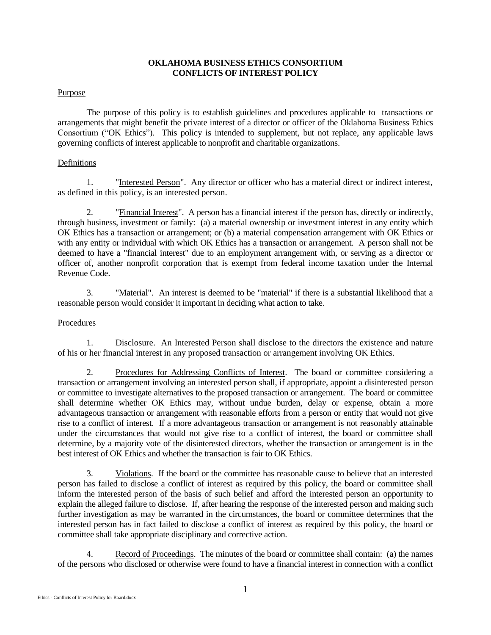## **OKLAHOMA BUSINESS ETHICS CONSORTIUM CONFLICTS OF INTEREST POLICY**

## Purpose

The purpose of this policy is to establish guidelines and procedures applicable to transactions or arrangements that might benefit the private interest of a director or officer of the Oklahoma Business Ethics Consortium ("OK Ethics"). This policy is intended to supplement, but not replace, any applicable laws governing conflicts of interest applicable to nonprofit and charitable organizations.

## Definitions

1. "Interested Person". Any director or officer who has a material direct or indirect interest, as defined in this policy, is an interested person.

2. "Financial Interest". A person has a financial interest if the person has, directly or indirectly, through business, investment or family: (a) a material ownership or investment interest in any entity which OK Ethics has a transaction or arrangement; or (b) a material compensation arrangement with OK Ethics or with any entity or individual with which OK Ethics has a transaction or arrangement. A person shall not be deemed to have a "financial interest" due to an employment arrangement with, or serving as a director or officer of, another nonprofit corporation that is exempt from federal income taxation under the Internal Revenue Code.

3. "Material". An interest is deemed to be "material" if there is a substantial likelihood that a reasonable person would consider it important in deciding what action to take.

# Procedures

1. Disclosure. An Interested Person shall disclose to the directors the existence and nature of his or her financial interest in any proposed transaction or arrangement involving OK Ethics.

2. Procedures for Addressing Conflicts of Interest. The board or committee considering a transaction or arrangement involving an interested person shall, if appropriate, appoint a disinterested person or committee to investigate alternatives to the proposed transaction or arrangement. The board or committee shall determine whether OK Ethics may, without undue burden, delay or expense, obtain a more advantageous transaction or arrangement with reasonable efforts from a person or entity that would not give rise to a conflict of interest. If a more advantageous transaction or arrangement is not reasonably attainable under the circumstances that would not give rise to a conflict of interest, the board or committee shall determine, by a majority vote of the disinterested directors, whether the transaction or arrangement is in the best interest of OK Ethics and whether the transaction is fair to OK Ethics.

3. Violations. If the board or the committee has reasonable cause to believe that an interested person has failed to disclose a conflict of interest as required by this policy, the board or committee shall inform the interested person of the basis of such belief and afford the interested person an opportunity to explain the alleged failure to disclose. If, after hearing the response of the interested person and making such further investigation as may be warranted in the circumstances, the board or committee determines that the interested person has in fact failed to disclose a conflict of interest as required by this policy, the board or committee shall take appropriate disciplinary and corrective action.

4. Record of Proceedings. The minutes of the board or committee shall contain: (a) the names of the persons who disclosed or otherwise were found to have a financial interest in connection with a conflict